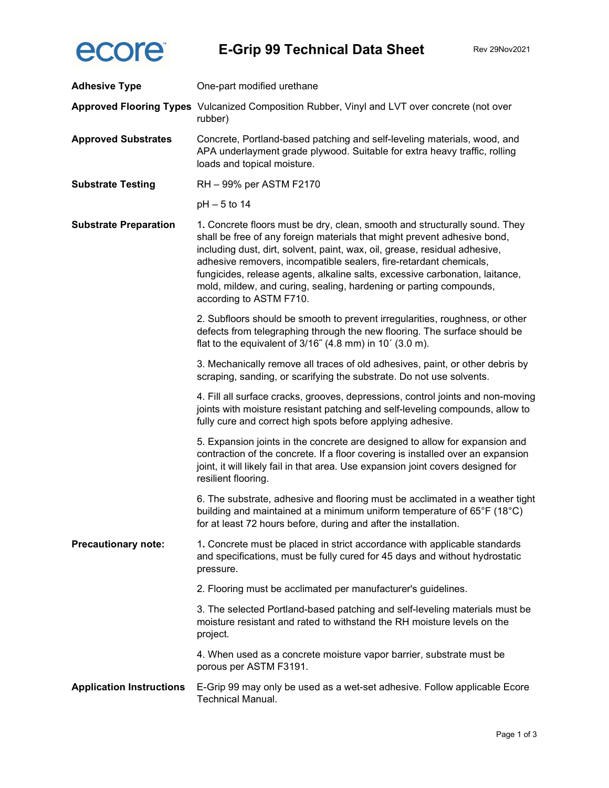

| <b>Adhesive Type</b>            | One-part modified urethane                                                                                                                                                                                                                                                                                                                                                                                                                                                                  |
|---------------------------------|---------------------------------------------------------------------------------------------------------------------------------------------------------------------------------------------------------------------------------------------------------------------------------------------------------------------------------------------------------------------------------------------------------------------------------------------------------------------------------------------|
|                                 | Approved Flooring Types Vulcanized Composition Rubber, Vinyl and LVT over concrete (not over<br>rubber)                                                                                                                                                                                                                                                                                                                                                                                     |
| <b>Approved Substrates</b>      | Concrete, Portland-based patching and self-leveling materials, wood, and<br>APA underlayment grade plywood. Suitable for extra heavy traffic, rolling<br>loads and topical moisture.                                                                                                                                                                                                                                                                                                        |
| <b>Substrate Testing</b>        | RH - 99% per ASTM F2170                                                                                                                                                                                                                                                                                                                                                                                                                                                                     |
|                                 | $pH - 5$ to 14                                                                                                                                                                                                                                                                                                                                                                                                                                                                              |
| <b>Substrate Preparation</b>    | 1. Concrete floors must be dry, clean, smooth and structurally sound. They<br>shall be free of any foreign materials that might prevent adhesive bond,<br>including dust, dirt, solvent, paint, wax, oil, grease, residual adhesive,<br>adhesive removers, incompatible sealers, fire-retardant chemicals,<br>fungicides, release agents, alkaline salts, excessive carbonation, laitance,<br>mold, mildew, and curing, sealing, hardening or parting compounds,<br>according to ASTM F710. |
|                                 | 2. Subfloors should be smooth to prevent irregularities, roughness, or other<br>defects from telegraphing through the new flooring. The surface should be<br>flat to the equivalent of 3/16" (4.8 mm) in 10' (3.0 m).                                                                                                                                                                                                                                                                       |
|                                 | 3. Mechanically remove all traces of old adhesives, paint, or other debris by<br>scraping, sanding, or scarifying the substrate. Do not use solvents.                                                                                                                                                                                                                                                                                                                                       |
|                                 | 4. Fill all surface cracks, grooves, depressions, control joints and non-moving<br>joints with moisture resistant patching and self-leveling compounds, allow to<br>fully cure and correct high spots before applying adhesive.                                                                                                                                                                                                                                                             |
|                                 | 5. Expansion joints in the concrete are designed to allow for expansion and<br>contraction of the concrete. If a floor covering is installed over an expansion<br>joint, it will likely fail in that area. Use expansion joint covers designed for<br>resilient flooring.                                                                                                                                                                                                                   |
|                                 | 6. The substrate, adhesive and flooring must be acclimated in a weather tight<br>building and maintained at a minimum uniform temperature of 65°F (18°C)<br>for at least 72 hours before, during and after the installation.                                                                                                                                                                                                                                                                |
| <b>Precautionary note:</b>      | 1. Concrete must be placed in strict accordance with applicable standards<br>and specifications, must be fully cured for 45 days and without hydrostatic<br>pressure.                                                                                                                                                                                                                                                                                                                       |
|                                 | 2. Flooring must be acclimated per manufacturer's guidelines.                                                                                                                                                                                                                                                                                                                                                                                                                               |
|                                 | 3. The selected Portland-based patching and self-leveling materials must be<br>moisture resistant and rated to withstand the RH moisture levels on the<br>project.                                                                                                                                                                                                                                                                                                                          |
|                                 | 4. When used as a concrete moisture vapor barrier, substrate must be<br>porous per ASTM F3191.                                                                                                                                                                                                                                                                                                                                                                                              |
| <b>Application Instructions</b> | E-Grip 99 may only be used as a wet-set adhesive. Follow applicable Ecore<br>Technical Manual.                                                                                                                                                                                                                                                                                                                                                                                              |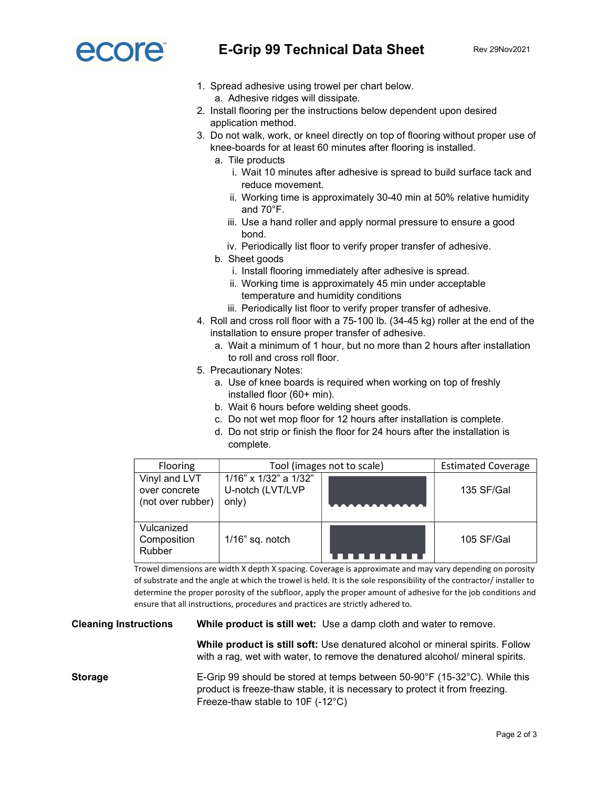

- 1. Spread adhesive using trowel per chart below. a. Adhesive ridges will dissipate.
- 2. Install flooring per the instructions below dependent upon desired application method.
- 3. Do not walk, work, or kneel directly on top of flooring without proper use of knee-boards for at least 60 minutes after flooring is installed.
	- a. Tile products
		- i. Wait 10 minutes after adhesive is spread to build surface tack and reduce movement.
		- ii. Working time is approximately 30-40 min at 50% relative humidity and 70°F.
		- iii. Use a hand roller and apply normal pressure to ensure a good bond.
		- iv. Periodically list floor to verify proper transfer of adhesive.
	- b. Sheet goods
		- i. Install flooring immediately after adhesive is spread.
		- ii. Working time is approximately 45 min under acceptable temperature and humidity conditions
		- iii. Periodically list floor to verify proper transfer of adhesive.
- 4. Roll and cross roll floor with a 75-100 lb. (34-45 kg) roller at the end of the installation to ensure proper transfer of adhesive.
	- a. Wait a minimum of 1 hour, but no more than 2 hours after installation to roll and cross roll floor.
- 5. Precautionary Notes:
	- a. Use of knee boards is required when working on top of freshly installed floor (60+ min).
	- b. Wait 6 hours before welding sheet goods.
	- c. Do not wet mop floor for 12 hours after installation is complete.
	- d. Do not strip or finish the floor for 24 hours after the installation is complete.

| Flooring                                            | Tool (images not to scale)                         |  | <b>Estimated Coverage</b> |
|-----------------------------------------------------|----------------------------------------------------|--|---------------------------|
| Vinyl and LVT<br>over concrete<br>(not over rubber) | 1/16" x 1/32" a 1/32"<br>U-notch (LVT/LVP<br>only) |  | 135 SF/Gal                |
| Vulcanized<br>Composition<br>Rubber                 | $1/16$ " sq. notch                                 |  | 105 SF/Gal                |

Trowel dimensions are width X depth X spacing. Coverage is approximate and may vary depending on porosity of substrate and the angle at which the trowel is held. It is the sole responsibility of the contractor/ installer to determine the proper porosity of the subfloor, apply the proper amount of adhesive for the job conditions and ensure that all instructions, procedures and practices are strictly adhered to.

Cleaning Instructions While product is still wet: Use a damp cloth and water to remove.

While product is still soft: Use denatured alcohol or mineral spirits. Follow with a rag, wet with water, to remove the denatured alcohol/ mineral spirits.

Storage E-Grip 99 should be stored at temps between 50-90°F (15-32°C). While this product is freeze-thaw stable, it is necessary to protect it from freezing. Freeze-thaw stable to 10F (-12°C)